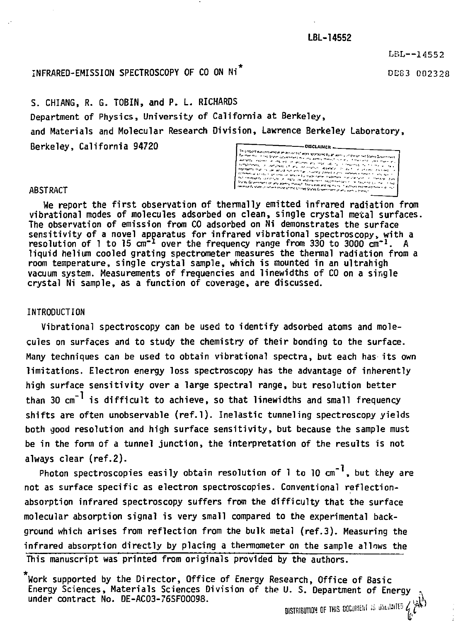LBL--14552

# INFRARED-EMISSION SPECTROSCOPY OF CO ON Ni<sup>\*</sup> DEG3 002328

S. CHIANG, R. G. TOBIN, and P. L. RICHARDS Department of Physics, University of California at Berkeley, and Materials and Molecular Research Division , Lawrence Berkeley Laboratory, Berkeley, California 94720 **DISCLAIMED** 

Thistrocet was presented as an acc<br>for them them in the first of across contractor<br>http://www.com/acrossimation<br>http://www.com/acrossimation film of the responses and<br>The film of the constants<br>American constants and constants eton (esperanto en 1877)<br>Veter caracticano (esperanto)<br>Primer trademarciano (esp in word not ele ע בעניין או היה ידי הוא<br>ביתי היא ידי לברותיה ia se

#### **ABSTRACT**

**We report the first observation of thermally emitted infrared radiation from vibrational modes of molecules adsorbed on clean, single crystal metal surfaces. The observation of emission from CO adsorbed on Ni demonstrates the surface sensitivity of a novel apparatus for infrared vibrational spectroscopy, with a resolution of 1 to 15 cm"1 over the frequency range from 330 to 3000 cm"<sup>1</sup> . A liquid helium cooled grating spectrometer measures the thermal radiation from a room temperature, single crystal sample, which is mounted in an ultrahigh vacuum system. Measurements of frequencies and linewidths of CO on a single crystal Ni sample, as a function of coverage, are discussed.** 

# **INTRODUCTION**

**Vibrational spectroscopy can be used to identify adsorbed atoms and molecules on surfaces and to study the chemistry of their bonding to the surface. Many techniques can be used to obtain vibrational spectra, but each has its own limitations. Electron energy loss spectroscopy has the advantage of inherently high surface sensitivity over a large spectral range, but resolution better**  than 30 cm<sup>-1</sup> is difficult to achieve, so that linewidths and small frequency **shifts are often unobservable (ref.l). Inelastic tunneling spectroscopy yields both good resolution and high surface sensitivity, but because the sample must be in the form of a tunnel junction, the interpretation of the results is not always clear (ref.2).** 

Photon spectroscopies easily obtain resolution of 1 to 10 cm<sup>-1</sup>, but thev are **not as surface specific as electron spectroscopies. Conventional reflectionabsorption infrared spectroscopy suffers from the difficulty that the surface molecular absorption signal is very small compared to the experimental background which arises from reflection from the bulk metal (ref.3). Measuring the infrared absorption directly by placing a thermometer on the sample allows the This manuscript was printed from originals provided by the authors.** 

**Work supported by the Director, Office of Energy Research, Office of Basic Energy Sciences, Materials Sciences Division of the U. S. Department of Energy .**  under contract No. DE-AC03-76SF00098. DISTRIBUTION OF THIS DOCUMENT IS UNLIMITED  $\zeta$   $^{\aleph_\bullet}_\epsilon$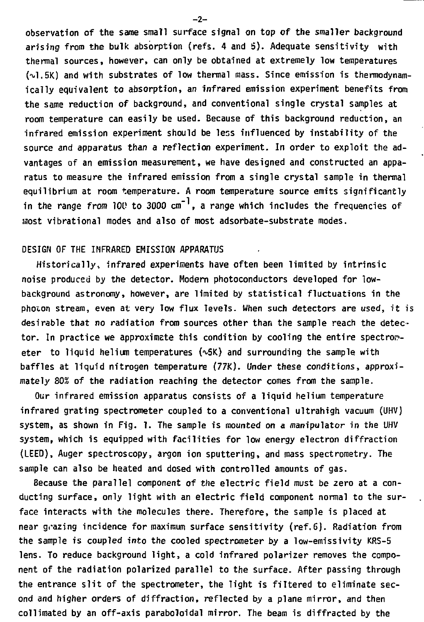**observation of the same small surface signal on top of the smaller background arising from the bulk absorption (refs. 4 and 5). Adequate sensitivity with thermal sources, however, can only be obtained at extremely low temperatures (VI.5K) and with substrates of low thermal mass. Since emission is thermodynamically equivalent to absorption, an infrared emission experiment benefits from the same reduction of background, and conventional single crystal samples at room temperature can easily be used. Because of this background reduction, an infrared emission experiment should be less influenced by instability of the source and apparatus than a reflection experiment. In order to exploit the advantages of an emission measurement, we have designed and constructed an apparatus to measure the infrared emission from a single crystal sample in thermal equilibrium at room temperature. A room temperature source emits significantly in the range** *from* **100 to 3000 cm" , a range which includes the frequencies of most vibrational modes and also of most adsorbate-substrate modes.** 

### **DESIGN OF THE INFRARED EMISSION APPARATUS**

**Historically, infrared experiments have often been limited by intrinsic noise produced by the detector. Modern photoconductors developed for lowbackground astronomy, however, are limited by statistical fluctuations in the photon stream, even at very low flux levels. When such detectors** *are* **used, it is desirable that no radiation from sources other than the sample reach the detec**tor. In practice we approximate this condition by cooling the entire spectrom**eter to liquid helium temperatures (^5K) and surrounding the sample with baffles at liquid nitrogen temperature (77K). Under these conditions, approximately 80% of the radiation reaching the detector comes from the sample.** 

**Our infrared emission apparatus consists of a liquid helium temperature infrared grating spectrometer coupled to a conventional ultrahigh vacuum (UHV) system, as shown in Fig. 1. The sample is mounted on a manipulator in the UHV system, which is equipped with facilities for low energy electron diffraction (LEED), Auger spectroscopy, argon ion sputtering, and mass spectrometry. The sample can also be heated and dosed with controlled amounts of gas.** 

**Because the parallel component** *of* **the electric field must be zero at a conducting surface, only light with an electric field component normal to the surface interacts with the molecules there. Therefore, the sample is placed at near grazing incidence for maximum surface sensitivity (ref,6). Radiation from the sample is coupled into the cooled spectrometer by a low-emissivity KRS-5 lens. To reduce background light, a cold infrared polarizer removes the component of the radiation polarized parallel to the surface. After passing through the entrance slit of the spectrometer, the light is filtered to eliminate second and higher orders of diffraction, reflected by a plane mirror, and then collimated by an off-axis paraboloidal mirror. The beam is diffracted by the** 

**-2-**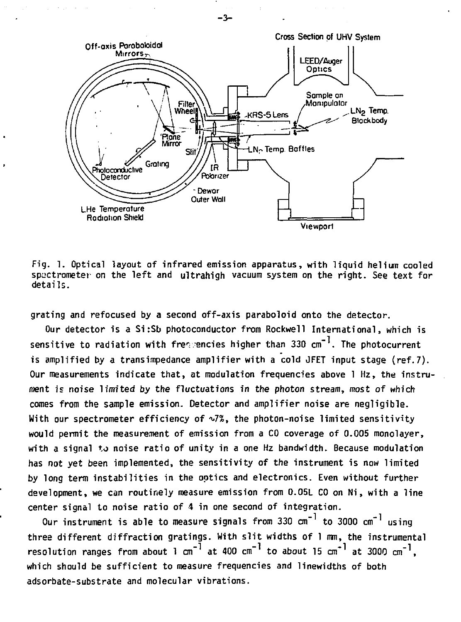

**- 3 -**

**Fig. 1. Optical layout of infrared emission apparatus, with liquid helium cooled spectrometer on the left and ultrahigh vacuum system on the right. See text for details.** 

**grating and refocused by a second off-axis paraboloid onto the detector.** 

**Our detector is a Si:Sb photoconductor from Rockwell International, which is sensitive to radiation with frequencies higher than 330 cm" . The photocurrent is amplified by a transimpedance amplifier with a cold JFET input stage (ref.7). Our measurements indicate that, at modulation frequencies above 1 Hz, the instrument is noise limited by the fluctuations** *in* **the photon** *stream,* **most of which comes from the sample emission. Detector and amplifier noise are negligible.**  With our spectrometer efficiency of  $\sqrt{2}$ , the photon-noise limited sensitivity **would permit the measurement of emission from a CO coverage of 0.005 monolayer, with a signal to noise ratio of unity in a one Hz bandwidth. Because modulation has not yet been implemented, the sensitivity of the instrument is now limited by long term instabilities in the optics and electronics. Even without further development, we can routinely measure emission from 0.05L CO on Ni, with a line center signal to noise ratio of 4 in one second of integration.** 

**Our instrument is able to measure signals from 330 cm" to 3000 cm"<sup>1</sup> using three different diffraction gratings. With slit widths of 1 mm, the instrumental**  resolution ranges from about 1 cm<sup>-1</sup> at 400 cm<sup>-1</sup> to about 15 cm<sup>-1</sup> at 3000 cm<sup>-1</sup>, **which should be sufficient to measure frequencies and linewidths of both adsorbate-substrate and molecular vibrations.**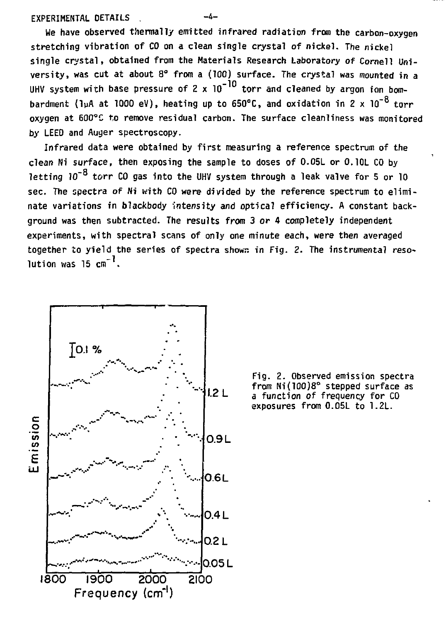## **EXPERIMENTAL DETAILS**

**We have observed thermally emitted infrared radiation from the carbon-oxygen stretching vibration of CO on a clean single crystal of nickel. The nickel single crystal, obtained from the Materials Research Laboratory of Cornell University, was cut at about 8° from a (100) surface. The crystal was mounted in a**  UHV system with base pressure of 2 x 10<sup>-10</sup> torr and cleaned by argon ion bombardment (lµA at 1000 eV), heating up to 650°C, and oxidation in 2 x 10<sup>-8</sup> torr **oxygen at 600°C to remove residual carbon. The surface cleanliness was monitored by LEED and Auger spectroscopy.** 

**Infrared data were obtained by first measuring a reference spectrum of the clean Ni surface, then exposing the sample to doses of 0.05L or 0.10L CO by**  letting  $10^{-8}$  torr CO gas into the UHV system through a leak valve for 5 or 10 sec. The spectra of Ni with CO were divided by the reference spectrum to eliminate variations in blackbody intensity and optical efficiency. A constant background was then subtracted. The results from 3 or 4 completely independent experiments, with spectral scans of only one minute each, were then averaged **experiments, with spectral scans of only one minute each, were then averaged together to yield the series of spectra showr. in Fig. 2. The instrumental resolution was 15 cm" .** 



**Fig. 2. Observed emission spectra 1.2** L **from Ni(100)8°** stepped surface as **'-2 L a function of frequency for CO exposures from 0.05L to 1.2L.**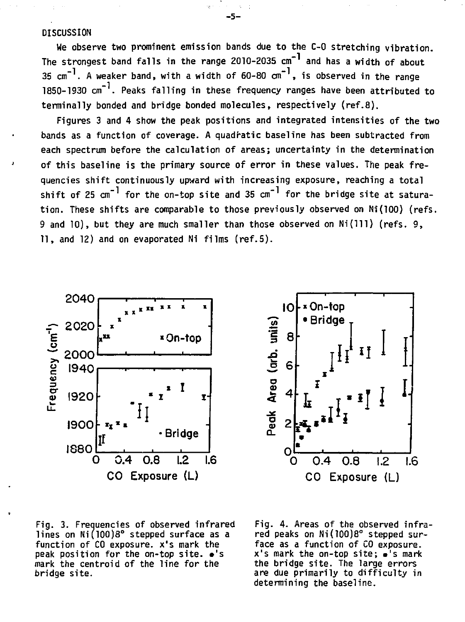### **DISCUSSION**

**We observe two prominent emission bands due to the C-0 stretching vibration. The strongest band falls in the range 2010-2035 cm"1 and has a width of about**   $35 \text{ cm}^{-1}$ . A weaker band, with a width of  $60-80 \text{ cm}^{-1}$ , is observed in the range **1850-1930 cm" . Peaks falling in these frequency ranges have been attributed to terminally bonded and bridge bonded molecules, respectively (ref.8).** 

**Figures 3 and 4 show the peak positions and integrated intensities of the two bands as a function of coverage. A quadratic baseline has been subtracted from each spectrum before the calculation of areas; uncertainty in the determination of this baseline is the primary source of error in these values. The peak frequencies shift continuously upward with increasing exposure, reaching a total shift of 25 cm" for the on-top site and 35 cm"1 for the bridge site at saturation. These shifts are comparable to those previously observed on Ni(100) (refs. 9 and 10), but they are much smaller than those observed on Ni(lll) (refs. 9, 11, and 12) and on evaporated Ni films (ref.5).** 





Fig. 3. Frequencies of observed infrared lines on Ni(100)8° stepped surface as a function of CO exposure, x's mark the peak position for the on-top site.  $\bullet$ 's mark the centroid of the line for the bridge site.

Fig. 4. Areas of the observed infra red peaks on Ni(100)8° stepped surface as a function of CO exposure, x' s mark the on-top site ; »'s mark the bridge site. The large errors are due primarily to difficulty in determining the baseline.

**-5-**